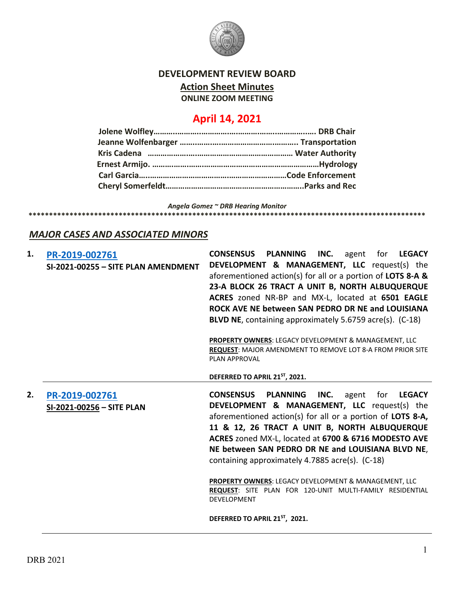

### **DEVELOPMENT REVIEW BOARD**

**Action Sheet Minutes**

**ONLINE ZOOM MEETING**

# **April 14, 2021**

*Angela Gomez ~ DRB Hearing Monitor* **\*\*\*\*\*\*\*\*\*\*\*\*\*\*\*\*\*\*\*\*\*\*\*\*\*\*\*\*\*\*\*\*\*\*\*\*\*\*\*\*\*\*\*\*\*\*\*\*\*\*\*\*\*\*\*\*\*\*\*\*\*\*\*\*\*\*\*\*\*\*\*\*\*\*\*\*\*\*\*\*\*\*\*\*\*\*\*\*\*\*\*\*\*\*\*\*\***

## *MAJOR CASES AND ASSOCIATED MINORS*

| 1. | PR-2019-002761<br>SI-2021-00255 - SITE PLAN AMENDMENT | <b>CONSENSUS</b><br><b>PLANNING</b><br>INC. agent for LEGACY<br><b>DEVELOPMENT &amp; MANAGEMENT, LLC</b> request(s) the<br>aforementioned action(s) for all or a portion of LOTS 8-A &<br>23-A BLOCK 26 TRACT A UNIT B, NORTH ALBUQUERQUE<br>ACRES zoned NR-BP and MX-L, located at 6501 EAGLE<br>ROCK AVE NE between SAN PEDRO DR NE and LOUISIANA<br>BLVD NE, containing approximately 5.6759 acre(s). (C-18)        |
|----|-------------------------------------------------------|------------------------------------------------------------------------------------------------------------------------------------------------------------------------------------------------------------------------------------------------------------------------------------------------------------------------------------------------------------------------------------------------------------------------|
|    |                                                       | <b>PROPERTY OWNERS: LEGACY DEVELOPMENT &amp; MANAGEMENT, LLC</b><br><b>REQUEST: MAJOR AMENDMENT TO REMOVE LOT 8-A FROM PRIOR SITE</b><br><b>PLAN APPROVAL</b>                                                                                                                                                                                                                                                          |
|    |                                                       | DEFERRED TO APRIL 21ST, 2021.                                                                                                                                                                                                                                                                                                                                                                                          |
| 2. | PR-2019-002761<br>SI-2021-00256 - SITE PLAN           | <b>CONSENSUS</b><br><b>PLANNING</b><br>INC.<br>for<br><b>LEGACY</b><br>agent<br><b>DEVELOPMENT &amp; MANAGEMENT, LLC</b> request(s) the<br>aforementioned action(s) for all or a portion of LOTS 8-A,<br>11 & 12, 26 TRACT A UNIT B, NORTH ALBUQUERQUE<br>ACRES zoned MX-L, located at 6700 & 6716 MODESTO AVE<br>NE between SAN PEDRO DR NE and LOUISIANA BLVD NE,<br>containing approximately 4.7885 acre(s). (C-18) |
|    |                                                       | PROPERTY OWNERS: LEGACY DEVELOPMENT & MANAGEMENT, LLC<br>REQUEST: SITE PLAN FOR 120-UNIT MULTI-FAMILY RESIDENTIAL<br><b>DEVELOPMENT</b>                                                                                                                                                                                                                                                                                |
|    |                                                       | DEFERRED TO APRIL 21ST, 2021.                                                                                                                                                                                                                                                                                                                                                                                          |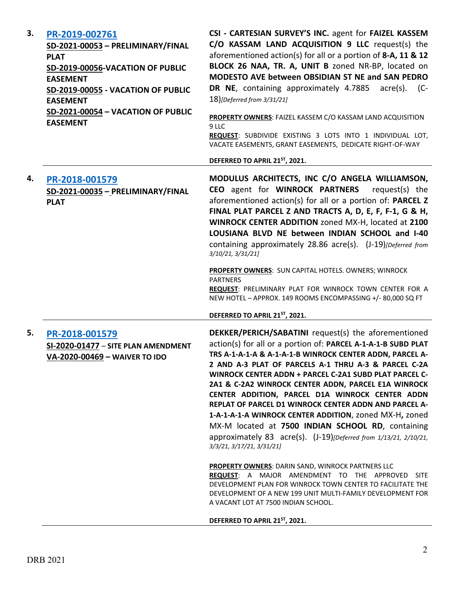| 3. | PR-2019-002761<br>SD-2021-00053 - PRELIMINARY/FINAL<br><b>PLAT</b><br>SD-2019-00056-VACATION OF PUBLIC<br><b>EASEMENT</b><br>SD-2019-00055 - VACATION OF PUBLIC<br><b>EASEMENT</b><br>SD-2021-00054 - VACATION OF PUBLIC<br><b>EASEMENT</b> | CSI - CARTESIAN SURVEY'S INC. agent for FAIZEL KASSEM<br>C/O KASSAM LAND ACQUISITION 9 LLC request(s) the<br>aforementioned action(s) for all or a portion of 8-A, 11 & 12<br>BLOCK 26 NAA, TR. A, UNIT B zoned NR-BP, located on<br>MODESTO AVE between OBSIDIAN ST NE and SAN PEDRO<br>DR NE, containing approximately 4.7885<br>$\arccos 0$ . (C-<br>18)[Deferred from 3/31/21]<br>PROPERTY OWNERS: FAIZEL KASSEM C/O KASSAM LAND ACQUISITION<br>9 LLC<br>REQUEST: SUBDIVIDE EXISTING 3 LOTS INTO 1 INDIVIDUAL LOT,<br>VACATE EASEMENTS, GRANT EASEMENTS, DEDICATE RIGHT-OF-WAY                                                                                                     |
|----|---------------------------------------------------------------------------------------------------------------------------------------------------------------------------------------------------------------------------------------------|----------------------------------------------------------------------------------------------------------------------------------------------------------------------------------------------------------------------------------------------------------------------------------------------------------------------------------------------------------------------------------------------------------------------------------------------------------------------------------------------------------------------------------------------------------------------------------------------------------------------------------------------------------------------------------------|
|    |                                                                                                                                                                                                                                             | DEFERRED TO APRIL 21ST, 2021.                                                                                                                                                                                                                                                                                                                                                                                                                                                                                                                                                                                                                                                          |
| 4. | PR-2018-001579<br>SD-2021-00035 - PRELIMINARY/FINAL<br><b>PLAT</b>                                                                                                                                                                          | MODULUS ARCHITECTS, INC C/O ANGELA WILLIAMSON,<br>CEO agent for WINROCK PARTNERS<br>request(s) the<br>aforementioned action(s) for all or a portion of: PARCEL Z<br>FINAL PLAT PARCEL Z AND TRACTS A, D, E, F, F-1, G & H,<br>WINROCK CENTER ADDITION zoned MX-H, located at 2100<br>LOUSIANA BLVD NE between INDIAN SCHOOL and I-40<br>containing approximately 28.86 acre(s). (J-19)[Deferred from<br>3/10/21, 3/31/21]<br>PROPERTY OWNERS: SUN CAPITAL HOTELS. OWNERS; WINROCK<br><b>PARTNERS</b>                                                                                                                                                                                   |
|    |                                                                                                                                                                                                                                             | REQUEST: PRELIMINARY PLAT FOR WINROCK TOWN CENTER FOR A<br>NEW HOTEL - APPROX. 149 ROOMS ENCOMPASSING +/-80,000 SQ FT<br>DEFERRED TO APRIL 21 <sup>ST</sup> , 2021.                                                                                                                                                                                                                                                                                                                                                                                                                                                                                                                    |
| 5. | PR-2018-001579<br>SI-2020-01477 - SITE PLAN AMENDMENT<br>VA-2020-00469 - WAIVER TO IDO                                                                                                                                                      | DEKKER/PERICH/SABATINI request(s) the aforementioned<br>action(s) for all or a portion of: PARCEL A-1-A-1-B SUBD PLAT<br>TRS A-1-A-1-A & A-1-A-1-B WINROCK CENTER ADDN, PARCEL A-<br>2 AND A-3 PLAT OF PARCELS A-1 THRU A-3 & PARCEL C-2A<br>WINROCK CENTER ADDN + PARCEL C-2A1 SUBD PLAT PARCEL C-<br>2A1 & C-2A2 WINROCK CENTER ADDN, PARCEL E1A WINROCK<br>CENTER ADDITION, PARCEL D1A WINROCK CENTER ADDN<br>REPLAT OF PARCEL D1 WINROCK CENTER ADDN AND PARCEL A-<br>1-A-1-A-1-A WINROCK CENTER ADDITION, zoned MX-H, zoned<br>MX-M located at 7500 INDIAN SCHOOL RD, containing<br>approximately 83 acre(s). (J-19)[Deferred from 1/13/21, 2/10/21,<br>3/3/21, 3/17/21, 3/31/21] |
|    |                                                                                                                                                                                                                                             | <b>PROPERTY OWNERS: DARIN SAND, WINROCK PARTNERS LLC</b><br>REQUEST: A MAJOR AMENDMENT TO THE APPROVED<br><b>SITE</b><br>DEVELOPMENT PLAN FOR WINROCK TOWN CENTER TO FACILITATE THE<br>DEVELOPMENT OF A NEW 199 UNIT MULTI-FAMILY DEVELOPMENT FOR<br>A VACANT LOT AT 7500 INDIAN SCHOOL.                                                                                                                                                                                                                                                                                                                                                                                               |
|    |                                                                                                                                                                                                                                             | DEFERRED TO APRIL 21 <sup>ST</sup> , 2021.                                                                                                                                                                                                                                                                                                                                                                                                                                                                                                                                                                                                                                             |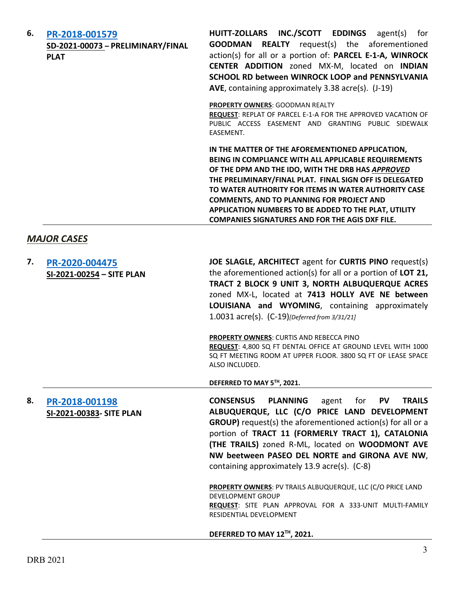| 6. | PR-2018-001579<br>SD-2021-00073 - PRELIMINARY/FINAL<br><b>PLAT</b> | HUITT-ZOLLARS INC./SCOTT EDDINGS agent(s) for<br><b>GOODMAN REALTY</b> request(s) the aforementioned<br>action(s) for all or a portion of: PARCEL E-1-A, WINROCK<br>CENTER ADDITION zoned MX-M, located on INDIAN<br>SCHOOL RD between WINROCK LOOP and PENNSYLVANIA<br>AVE, containing approximately 3.38 acre(s). (J-19)                                                                                                                             |
|----|--------------------------------------------------------------------|--------------------------------------------------------------------------------------------------------------------------------------------------------------------------------------------------------------------------------------------------------------------------------------------------------------------------------------------------------------------------------------------------------------------------------------------------------|
|    |                                                                    | PROPERTY OWNERS: GOODMAN REALTY<br>REQUEST: REPLAT OF PARCEL E-1-A FOR THE APPROVED VACATION OF<br>PUBLIC ACCESS EASEMENT AND GRANTING PUBLIC SIDEWALK<br>EASEMENT.                                                                                                                                                                                                                                                                                    |
|    |                                                                    | IN THE MATTER OF THE AFOREMENTIONED APPLICATION,<br>BEING IN COMPLIANCE WITH ALL APPLICABLE REQUIREMENTS<br>OF THE DPM AND THE IDO, WITH THE DRB HAS APPROVED<br>THE PRELIMINARY/FINAL PLAT. FINAL SIGN OFF IS DELEGATED<br>TO WATER AUTHORITY FOR ITEMS IN WATER AUTHORITY CASE<br><b>COMMENTS, AND TO PLANNING FOR PROJECT AND</b><br>APPLICATION NUMBERS TO BE ADDED TO THE PLAT, UTILITY<br><b>COMPANIES SIGNATURES AND FOR THE AGIS DXF FILE.</b> |
|    | <b>MAJOR CASES</b>                                                 |                                                                                                                                                                                                                                                                                                                                                                                                                                                        |
| 7. | PR-2020-004475<br>SI-2021-00254 - SITE PLAN                        | JOE SLAGLE, ARCHITECT agent for CURTIS PINO request(s)<br>the aforementioned action(s) for all or a portion of LOT 21,<br>TRACT 2 BLOCK 9 UNIT 3, NORTH ALBUQUERQUE ACRES<br>zoned MX-L, located at 7413 HOLLY AVE NE between<br>LOUISIANA and WYOMING, containing approximately<br>1.0031 acre(s). (C-19)[Deferred from 3/31/21]                                                                                                                      |
|    |                                                                    | PROPERTY OWNERS: CURTIS AND REBECCA PINO<br>REQUEST: 4,800 SQ FT DENTAL OFFICE AT GROUND LEVEL WITH 1000<br>SQ FT MEETING ROOM AT UPPER FLOOR. 3800 SQ FT OF LEASE SPACE<br>ALSO INCLUDED.                                                                                                                                                                                                                                                             |
|    |                                                                    | DEFERRED TO MAY 5TH, 2021.                                                                                                                                                                                                                                                                                                                                                                                                                             |
| 8. | PR-2018-001198<br>SI-2021-00383- SITE PLAN                         | <b>CONSENSUS</b><br><b>PLANNING</b><br><b>PV</b><br><b>TRAILS</b><br>agent<br>for<br>ALBUQUERQUE, LLC (C/O PRICE LAND DEVELOPMENT<br><b>GROUP)</b> request(s) the aforementioned action(s) for all or a<br>portion of TRACT 11 (FORMERLY TRACT 1), CATALONIA<br>(THE TRAILS) zoned R-ML, located on WOODMONT AVE<br>NW beetween PASEO DEL NORTE and GIRONA AVE NW,<br>containing approximately 13.9 acre(s). (C-8)                                     |
|    |                                                                    | <b>PROPERTY OWNERS: PV TRAILS ALBUQUERQUE, LLC (C/O PRICE LAND</b><br><b>DEVELOPMENT GROUP</b><br>REQUEST: SITE PLAN APPROVAL FOR A 333-UNIT MULTI-FAMILY<br>RESIDENTIAL DEVELOPMENT                                                                                                                                                                                                                                                                   |
|    |                                                                    | DEFERRED TO MAY 12TH, 2021.                                                                                                                                                                                                                                                                                                                                                                                                                            |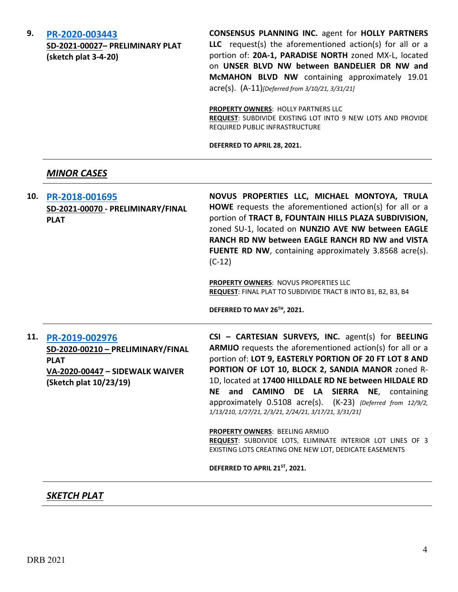**9. [PR-2020-003443](http://data.cabq.gov/government/planning/DRB/PR-2020-003443/DRB%20Submittals/PR-2021-003443_Mar_10_2021/Application/DRB%20PP%20Consensus%20PR-2020-003443%20SD-2021-00027%20signed%20copy.pdf)**

**SD-2021-00027– PRELIMINARY PLAT (sketch plat 3-4-20)**

**CONSENSUS PLANNING INC.** agent for **HOLLY PARTNERS LLC** request(s) the aforementioned action(s) for all or a portion of: **20A-1, PARADISE NORTH** zoned MX-L, located on **UNSER BLVD NW between BANDELIER DR NW and McMAHON BLVD NW** containing approximately 19.01 acre(s). (A-11)*[Deferred from 3/10/21, 3/31/21]*

**PROPERTY OWNERS**: HOLLY PARTNERS LLC **REQUEST**: SUBDIVIDE EXISTING LOT INTO 9 NEW LOTS AND PROVIDE REQUIRED PUBLIC INFRASTRUCTURE

**DEFERRED TO APRIL 28, 2021.**

### *MINOR CASES*

| <b>PROPERTY OWNERS: NOVUS PROPERTIES LLC</b><br>REQUEST: FINAL PLAT TO SUBDIVIDE TRACT B INTO B1, B2, B3, B4<br>DEFERRED TO MAY 26TH, 2021.                                                                                                                                                                                                                                                                                                                                                                                                                                                                                                            |
|--------------------------------------------------------------------------------------------------------------------------------------------------------------------------------------------------------------------------------------------------------------------------------------------------------------------------------------------------------------------------------------------------------------------------------------------------------------------------------------------------------------------------------------------------------------------------------------------------------------------------------------------------------|
|                                                                                                                                                                                                                                                                                                                                                                                                                                                                                                                                                                                                                                                        |
| CSI - CARTESIAN SURVEYS, INC. agent(s) for BEELING<br>ARMIJO requests the aforementioned action(s) for all or a<br>portion of: LOT 9, EASTERLY PORTION OF 20 FT LOT 8 AND<br>PORTION OF LOT 10, BLOCK 2, SANDIA MANOR zoned R-<br>1D, located at 17400 HILLDALE RD NE between HILDALE RD<br>and CAMINO DE LA SIERRA NE, containing<br>approximately 0.5108 acre(s). (K-23) {Deferred from 12/9/2,<br>1/13/210, 1/27/21, 2/3/21, 2/24/21, 3/17/21, 3/31/21]<br>PROPERTY OWNERS: BEELING ARMIJO<br>REQUEST: SUBDIVIDE LOTS, ELIMINATE INTERIOR LOT LINES OF 3<br>EXISTING LOTS CREATING ONE NEW LOT, DEDICATE EASEMENTS<br>DEFERRED TO APRIL 21ST, 2021. |
|                                                                                                                                                                                                                                                                                                                                                                                                                                                                                                                                                                                                                                                        |

# *SKETCH PLAT*